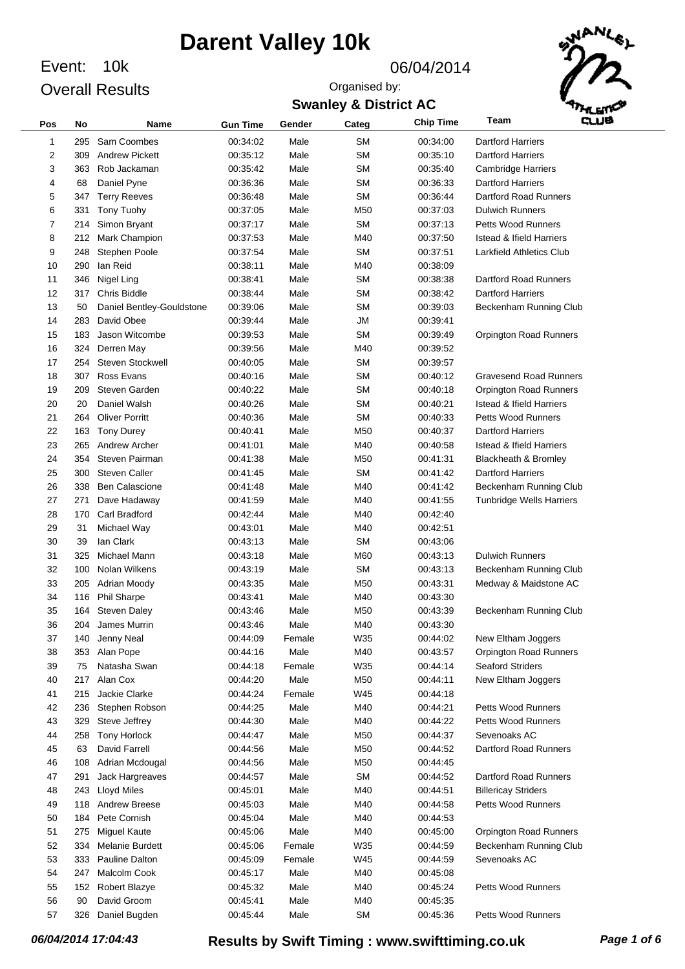10k Event: 06/04/2014 Overall Results

Organised by:



|  | <b>Swanley &amp; District AC</b> |  |
|--|----------------------------------|--|
|  |                                  |  |

| Pos | No  | <b>Name</b>               | <b>Gun Time</b> | Gender | Categ           | <b>Chip Time</b> | وسه<br>Team                         |  |
|-----|-----|---------------------------|-----------------|--------|-----------------|------------------|-------------------------------------|--|
| 1   | 295 | Sam Coombes               | 00:34:02        | Male   | <b>SM</b>       | 00:34:00         | <b>Dartford Harriers</b>            |  |
| 2   | 309 | <b>Andrew Pickett</b>     | 00:35:12        | Male   | <b>SM</b>       | 00:35:10         | <b>Dartford Harriers</b>            |  |
| 3   | 363 | Rob Jackaman              | 00:35:42        | Male   | <b>SM</b>       | 00:35:40         | <b>Cambridge Harriers</b>           |  |
| 4   | 68  | Daniel Pyne               | 00:36:36        | Male   | <b>SM</b>       | 00:36:33         | <b>Dartford Harriers</b>            |  |
| 5   | 347 | <b>Terry Reeves</b>       | 00:36:48        | Male   | <b>SM</b>       | 00:36:44         | Dartford Road Runners               |  |
| 6   | 331 | Tony Tuohy                | 00:37:05        | Male   | M <sub>50</sub> | 00:37:03         | <b>Dulwich Runners</b>              |  |
| 7   | 214 | Simon Bryant              | 00:37:17        | Male   | <b>SM</b>       | 00:37:13         | <b>Petts Wood Runners</b>           |  |
| 8   | 212 | Mark Champion             | 00:37:53        | Male   | M40             | 00:37:50         | <b>Istead &amp; Ifield Harriers</b> |  |
| 9   | 248 | Stephen Poole             | 00:37:54        | Male   | <b>SM</b>       | 00:37:51         | Larkfield Athletics Club            |  |
| 10  | 290 | lan Reid                  | 00:38:11        | Male   | M40             | 00:38:09         |                                     |  |
| 11  | 346 | Nigel Ling                | 00:38:41        | Male   | <b>SM</b>       | 00:38:38         | Dartford Road Runners               |  |
| 12  | 317 | Chris Biddle              | 00:38:44        | Male   | SM              | 00:38:42         | <b>Dartford Harriers</b>            |  |
| 13  | 50  | Daniel Bentley-Gouldstone | 00:39:06        | Male   | <b>SM</b>       | 00:39:03         | Beckenham Running Club              |  |
| 14  | 283 | David Obee                | 00:39:44        | Male   | <b>JM</b>       | 00:39:41         |                                     |  |
| 15  | 183 | Jason Witcombe            | 00:39:53        | Male   | SM              | 00:39:49         | <b>Orpington Road Runners</b>       |  |
| 16  | 324 | Derren May                | 00:39:56        | Male   | M40             | 00:39:52         |                                     |  |
| 17  | 254 | <b>Steven Stockwell</b>   | 00:40:05        | Male   | SM              | 00:39:57         |                                     |  |
| 18  | 307 | Ross Evans                | 00:40:16        | Male   | <b>SM</b>       | 00:40:12         | <b>Gravesend Road Runners</b>       |  |
| 19  | 209 | Steven Garden             | 00:40:22        | Male   | SM              | 00:40:18         | <b>Orpington Road Runners</b>       |  |
| 20  | 20  | Daniel Walsh              | 00:40:26        | Male   | SM              | 00:40:21         | <b>Istead &amp; Ifield Harriers</b> |  |
| 21  | 264 | <b>Oliver Porritt</b>     | 00:40:36        | Male   | SM              | 00:40:33         | <b>Petts Wood Runners</b>           |  |
| 22  | 163 | <b>Tony Durey</b>         | 00:40:41        | Male   | M <sub>50</sub> | 00:40:37         | <b>Dartford Harriers</b>            |  |
| 23  | 265 | Andrew Archer             | 00:41:01        | Male   | M40             | 00:40:58         | <b>Istead &amp; Ifield Harriers</b> |  |
| 24  | 354 | Steven Pairman            | 00:41:38        | Male   | M <sub>50</sub> | 00:41:31         | Blackheath & Bromley                |  |
| 25  | 300 | <b>Steven Caller</b>      | 00:41:45        | Male   | <b>SM</b>       | 00:41:42         | <b>Dartford Harriers</b>            |  |
| 26  | 338 | <b>Ben Calascione</b>     | 00:41:48        | Male   | M40             | 00:41:42         | Beckenham Running Club              |  |
| 27  | 271 | Dave Hadaway              | 00:41:59        | Male   | M40             | 00:41:55         | <b>Tunbridge Wells Harriers</b>     |  |
| 28  | 170 | Carl Bradford             | 00:42:44        | Male   | M40             | 00:42:40         |                                     |  |
| 29  | 31  | Michael Way               | 00:43:01        | Male   | M40             | 00:42:51         |                                     |  |
| 30  | 39  | lan Clark                 | 00:43:13        | Male   | <b>SM</b>       | 00:43:06         |                                     |  |
| 31  | 325 | Michael Mann              | 00:43:18        | Male   | M60             | 00:43:13         | <b>Dulwich Runners</b>              |  |
| 32  | 100 | Nolan Wilkens             | 00:43:19        | Male   | <b>SM</b>       | 00:43:13         | Beckenham Running Club              |  |
| 33  | 205 | Adrian Moody              | 00:43:35        | Male   | M <sub>50</sub> | 00:43:31         | Medway & Maidstone AC               |  |
| 34  | 116 | <b>Phil Sharpe</b>        | 00:43:41        | Male   | M40             | 00:43:30         |                                     |  |
| 35  | 164 | <b>Steven Daley</b>       | 00:43:46        | Male   | M <sub>50</sub> | 00:43:39         | Beckenham Running Club              |  |
| 36  | 204 | James Murrin              | 00:43:46        | Male   | M40             | 00:43:30         |                                     |  |
| 37  | 140 | Jenny Neal                | 00:44:09        | Female | W35             | 00:44:02         | New Eltham Joggers                  |  |
| 38  | 353 | Alan Pope                 | 00:44:16        | Male   | M40             | 00:43:57         | <b>Orpington Road Runners</b>       |  |
| 39  | 75  | Natasha Swan              | 00:44:18        | Female | W35             | 00:44:14         | <b>Seaford Striders</b>             |  |
| 40  | 217 | Alan Cox                  | 00:44:20        | Male   | M50             | 00:44:11         | New Eltham Joggers                  |  |
| 41  | 215 | Jackie Clarke             | 00:44:24        | Female | W45             | 00:44:18         |                                     |  |
| 42  | 236 | Stephen Robson            | 00:44:25        | Male   | M40             | 00:44:21         | Petts Wood Runners                  |  |
| 43  | 329 | Steve Jeffrey             | 00:44:30        | Male   | M40             | 00:44:22         | Petts Wood Runners                  |  |
| 44  | 258 | <b>Tony Horlock</b>       | 00:44:47        | Male   | M <sub>50</sub> | 00:44:37         | Sevenoaks AC                        |  |
| 45  | 63  | David Farrell             | 00:44:56        | Male   | M <sub>50</sub> | 00:44:52         | Dartford Road Runners               |  |
| 46  | 108 | Adrian Mcdougal           | 00:44:56        | Male   | M50             | 00:44:45         |                                     |  |
| 47  | 291 | Jack Hargreaves           | 00:44:57        | Male   | <b>SM</b>       | 00:44:52         | Dartford Road Runners               |  |
| 48  | 243 | <b>Lloyd Miles</b>        | 00:45:01        | Male   | M40             | 00:44:51         | <b>Billericay Striders</b>          |  |
| 49  | 118 | <b>Andrew Breese</b>      | 00:45:03        | Male   | M40             | 00:44:58         | <b>Petts Wood Runners</b>           |  |
| 50  | 184 | Pete Cornish              | 00:45:04        | Male   | M40             | 00:44:53         |                                     |  |
| 51  | 275 | <b>Miguel Kaute</b>       | 00:45:06        | Male   | M40             | 00:45:00         | Orpington Road Runners              |  |
| 52  | 334 | Melanie Burdett           | 00:45:06        | Female | W35             | 00:44:59         | Beckenham Running Club              |  |
| 53  | 333 | Pauline Dalton            | 00:45:09        | Female | W45             | 00:44:59         | Sevenoaks AC                        |  |
| 54  | 247 | Malcolm Cook              | 00:45:17        | Male   | M40             | 00:45:08         |                                     |  |
| 55  | 152 | Robert Blazye             | 00:45:32        | Male   | M40             | 00:45:24         | Petts Wood Runners                  |  |
| 56  | 90  | David Groom               | 00:45:41        | Male   | M40             | 00:45:35         |                                     |  |
| 57  | 326 | Daniel Bugden             | 00:45:44        | Male   | <b>SM</b>       | 00:45:36         | Petts Wood Runners                  |  |
|     |     |                           |                 |        |                 |                  |                                     |  |

*06/04/2014 17:04:43* **Results by Swift Timing : www.swifttiming.co.uk** *Page 1 of 6*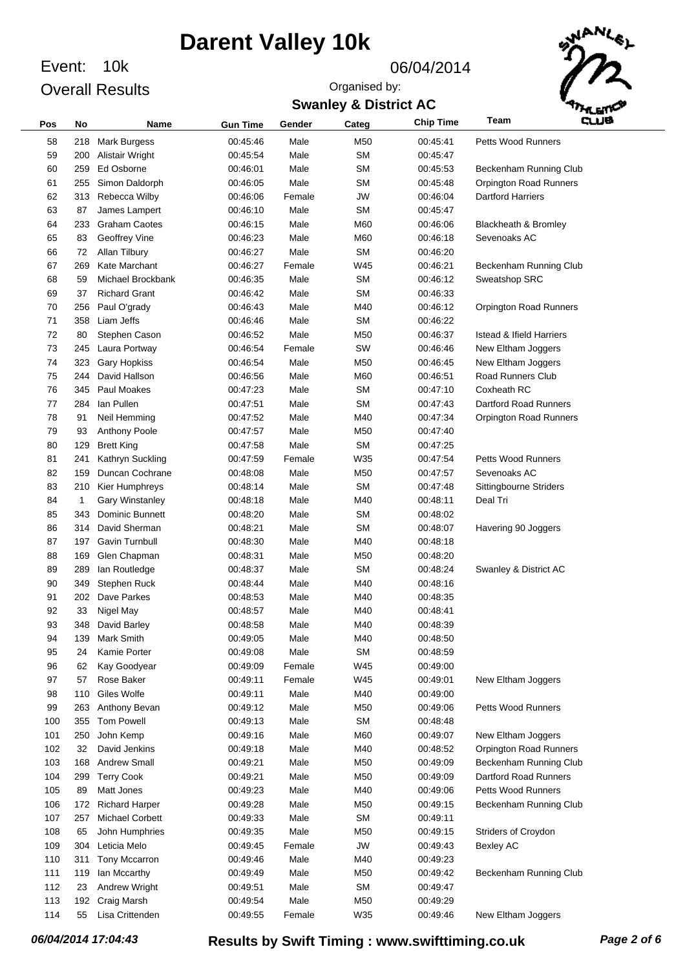Event: 10k Overall Results

#### 06/04/2014

Organised by:



### **Swanley & District AC**

| Pos | No           | Name                   | <b>Gun Time</b> | Gender | Categ     | <b>Chip Time</b> | وسء<br>Team                         |  |
|-----|--------------|------------------------|-----------------|--------|-----------|------------------|-------------------------------------|--|
| 58  | 218          | <b>Mark Burgess</b>    | 00:45:46        | Male   | M50       | 00:45:41         | Petts Wood Runners                  |  |
| 59  | 200          | Alistair Wright        | 00:45:54        | Male   | <b>SM</b> | 00:45:47         |                                     |  |
| 60  | 259          | Ed Osborne             | 00:46:01        | Male   | <b>SM</b> | 00:45:53         | Beckenham Running Club              |  |
| 61  | 255          | Simon Daldorph         | 00:46:05        | Male   | <b>SM</b> | 00:45:48         | Orpington Road Runners              |  |
| 62  | 313          | Rebecca Wilby          | 00:46:06        | Female | JW        | 00:46:04         | <b>Dartford Harriers</b>            |  |
| 63  | 87           | James Lampert          | 00:46:10        | Male   | <b>SM</b> | 00:45:47         |                                     |  |
| 64  | 233          | <b>Graham Caotes</b>   | 00:46:15        | Male   | M60       | 00:46:06         | Blackheath & Bromley                |  |
| 65  | 83           | Geoffrey Vine          | 00:46:23        | Male   | M60       | 00:46:18         | Sevenoaks AC                        |  |
| 66  | 72           | Allan Tilbury          | 00:46:27        | Male   | <b>SM</b> | 00:46:20         |                                     |  |
| 67  | 269          | Kate Marchant          | 00:46:27        | Female | W45       | 00:46:21         | Beckenham Running Club              |  |
| 68  | 59           | Michael Brockbank      | 00:46:35        | Male   | <b>SM</b> | 00:46:12         | Sweatshop SRC                       |  |
| 69  | 37           | <b>Richard Grant</b>   | 00:46:42        | Male   | <b>SM</b> | 00:46:33         |                                     |  |
| 70  | 256          | Paul O'grady           | 00:46:43        | Male   | M40       | 00:46:12         | Orpington Road Runners              |  |
| 71  | 358          | Liam Jeffs             | 00:46:46        | Male   | <b>SM</b> | 00:46:22         |                                     |  |
| 72  | 80           | Stephen Cason          | 00:46:52        | Male   | M50       | 00:46:37         | <b>Istead &amp; Ifield Harriers</b> |  |
| 73  | 245          | Laura Portway          | 00:46:54        | Female | SW        | 00:46:46         | New Eltham Joggers                  |  |
| 74  | 323          | <b>Gary Hopkiss</b>    | 00:46:54        | Male   | M50       | 00:46:45         | New Eltham Joggers                  |  |
| 75  | 244          | David Hallson          | 00:46:56        | Male   | M60       | 00:46:51         | Road Runners Club                   |  |
| 76  | 345          | <b>Paul Moakes</b>     | 00:47:23        | Male   | <b>SM</b> | 00:47:10         | Coxheath RC                         |  |
| 77  | 284          | lan Pullen             | 00:47:51        | Male   | <b>SM</b> | 00:47:43         | Dartford Road Runners               |  |
| 78  | 91           | Neil Hemming           | 00:47:52        | Male   | M40       | 00:47:34         | <b>Orpington Road Runners</b>       |  |
| 79  | 93           | Anthony Poole          | 00:47:57        | Male   | M50       | 00:47:40         |                                     |  |
| 80  | 129          | <b>Brett King</b>      | 00:47:58        | Male   | <b>SM</b> | 00:47:25         |                                     |  |
| 81  | 241          | Kathryn Suckling       | 00:47:59        | Female | W35       | 00:47:54         | <b>Petts Wood Runners</b>           |  |
| 82  | 159          | Duncan Cochrane        | 00:48:08        | Male   | M50       | 00:47:57         | Sevenoaks AC                        |  |
| 83  | 210          | Kier Humphreys         | 00:48:14        | Male   | <b>SM</b> | 00:47:48         | Sittingbourne Striders              |  |
| 84  | $\mathbf{1}$ | <b>Gary Winstanley</b> | 00:48:18        | Male   | M40       | 00:48:11         | Deal Tri                            |  |
| 85  | 343          | <b>Dominic Bunnett</b> | 00:48:20        | Male   | <b>SM</b> | 00:48:02         |                                     |  |
| 86  | 314          | David Sherman          | 00:48:21        | Male   | <b>SM</b> | 00:48:07         | Havering 90 Joggers                 |  |
| 87  | 197          | Gavin Turnbull         | 00:48:30        | Male   | M40       | 00:48:18         |                                     |  |
| 88  | 169          | Glen Chapman           | 00:48:31        | Male   | M50       | 00:48:20         |                                     |  |
| 89  | 289          | lan Routledge          | 00:48:37        | Male   | <b>SM</b> | 00:48:24         | Swanley & District AC               |  |
| 90  | 349          | Stephen Ruck           | 00:48:44        | Male   | M40       | 00:48:16         |                                     |  |
| 91  | 202          | Dave Parkes            | 00:48:53        | Male   | M40       | 00:48:35         |                                     |  |
| 92  | 33           | Nigel May              | 00:48:57        | Male   | M40       | 00:48:41         |                                     |  |
| 93  | 348          | David Barley           | 00:48:58        | Male   | M40       | 00:48:39         |                                     |  |
| 94  | 139          | Mark Smith             | 00:49:05        | Male   | M40       | 00:48:50         |                                     |  |
| 95  | 24           | Kamie Porter           | 00:49:08        | Male   | <b>SM</b> | 00:48:59         |                                     |  |
| 96  | 62           | Kay Goodyear           | 00:49:09        | Female | W45       | 00:49:00         |                                     |  |
| 97  | 57           | Rose Baker             | 00:49:11        | Female | W45       | 00:49:01         | New Eltham Joggers                  |  |
| 98  | 110          | Giles Wolfe            | 00:49:11        | Male   | M40       | 00:49:00         |                                     |  |
| 99  | 263          | Anthony Bevan          | 00:49:12        | Male   | M50       | 00:49:06         | <b>Petts Wood Runners</b>           |  |
| 100 | 355          | <b>Tom Powell</b>      | 00:49:13        | Male   | <b>SM</b> | 00:48:48         |                                     |  |
| 101 | 250          | John Kemp              | 00:49:16        | Male   | M60       | 00:49:07         | New Eltham Joggers                  |  |
| 102 | 32           | David Jenkins          | 00:49:18        | Male   | M40       | 00:48:52         | Orpington Road Runners              |  |
| 103 | 168          | <b>Andrew Small</b>    | 00:49:21        | Male   | M50       | 00:49:09         | Beckenham Running Club              |  |
| 104 | 299          | <b>Terry Cook</b>      | 00:49:21        | Male   | M50       | 00:49:09         | <b>Dartford Road Runners</b>        |  |
| 105 | 89           | Matt Jones             | 00:49:23        | Male   | M40       | 00:49:06         | <b>Petts Wood Runners</b>           |  |
| 106 | 172          | <b>Richard Harper</b>  | 00:49:28        | Male   | M50       | 00:49:15         | Beckenham Running Club              |  |
| 107 | 257          | Michael Corbett        | 00:49:33        | Male   | <b>SM</b> | 00:49:11         |                                     |  |
| 108 | 65           | John Humphries         | 00:49:35        | Male   | M50       | 00:49:15         | Striders of Croydon                 |  |
| 109 | 304          | Leticia Melo           | 00:49:45        | Female | <b>JW</b> | 00:49:43         | <b>Bexley AC</b>                    |  |
| 110 | 311          | Tony Mccarron          | 00:49:46        | Male   | M40       | 00:49:23         |                                     |  |
| 111 | 119          | lan Mccarthy           | 00:49:49        | Male   | M50       | 00:49:42         | Beckenham Running Club              |  |
| 112 | 23           | Andrew Wright          | 00:49:51        | Male   | <b>SM</b> | 00:49:47         |                                     |  |
| 113 | 192          | Craig Marsh            | 00:49:54        | Male   | M50       | 00:49:29         |                                     |  |
| 114 | 55           | Lisa Crittenden        | 00:49:55        | Female | W35       | 00:49:46         | New Eltham Joggers                  |  |

*06/04/2014 17:04:43* **Results by Swift Timing : www.swifttiming.co.uk** *Page 2 of 6*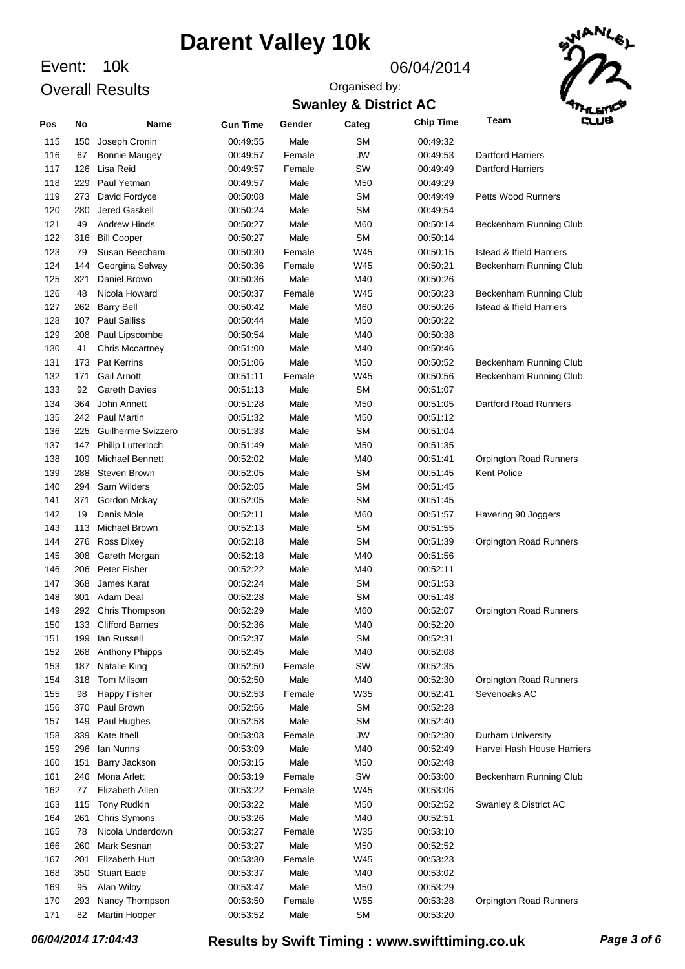Event: 10k Overall Results

#### 06/04/2014

**Swanley & District AC** Organised by:



| Pos | No  | <b>Name</b>            | <b>Gun Time</b> | Gender | Categ     | <b>Chip Time</b> | <b>GLUE</b><br>Team                 |
|-----|-----|------------------------|-----------------|--------|-----------|------------------|-------------------------------------|
| 115 | 150 | Joseph Cronin          | 00:49:55        | Male   | <b>SM</b> | 00:49:32         |                                     |
| 116 | 67  | <b>Bonnie Maugey</b>   | 00:49:57        | Female | <b>JW</b> | 00:49:53         | <b>Dartford Harriers</b>            |
| 117 | 126 | Lisa Reid              | 00:49:57        | Female | SW        | 00:49:49         | <b>Dartford Harriers</b>            |
| 118 | 229 | Paul Yetman            | 00:49:57        | Male   | M50       | 00:49:29         |                                     |
| 119 | 273 | David Fordyce          | 00:50:08        | Male   | <b>SM</b> | 00:49:49         | <b>Petts Wood Runners</b>           |
| 120 | 280 | Jered Gaskell          | 00:50:24        | Male   | <b>SM</b> | 00:49:54         |                                     |
| 121 | 49  | <b>Andrew Hinds</b>    | 00:50:27        | Male   | M60       | 00:50:14         | Beckenham Running Club              |
| 122 | 316 | <b>Bill Cooper</b>     | 00:50:27        | Male   | <b>SM</b> | 00:50:14         |                                     |
| 123 | 79  | Susan Beecham          | 00:50:30        | Female | W45       | 00:50:15         | <b>Istead &amp; Ifield Harriers</b> |
| 124 | 144 | Georgina Selway        | 00:50:36        | Female | W45       | 00:50:21         | Beckenham Running Club              |
| 125 | 321 | Daniel Brown           | 00:50:36        | Male   | M40       | 00:50:26         |                                     |
| 126 | 48  | Nicola Howard          | 00:50:37        | Female | W45       | 00:50:23         | Beckenham Running Club              |
| 127 | 262 | <b>Barry Bell</b>      | 00:50:42        | Male   | M60       | 00:50:26         | <b>Istead &amp; Ifield Harriers</b> |
| 128 | 107 | <b>Paul Salliss</b>    | 00:50:44        | Male   | M50       | 00:50:22         |                                     |
| 129 | 208 | Paul Lipscombe         | 00:50:54        | Male   | M40       | 00:50:38         |                                     |
| 130 | 41  | <b>Chris Mccartney</b> | 00:51:00        | Male   | M40       | 00:50:46         |                                     |
| 131 | 173 | Pat Kerrins            | 00:51:06        | Male   | M50       | 00:50:52         | Beckenham Running Club              |
| 132 | 171 | <b>Gail Arnott</b>     | 00:51:11        | Female | W45       | 00:50:56         | Beckenham Running Club              |
| 133 | 92  | <b>Gareth Davies</b>   | 00:51:13        | Male   | <b>SM</b> | 00:51:07         |                                     |
| 134 | 364 | John Annett            | 00:51:28        | Male   | M50       | 00:51:05         | Dartford Road Runners               |
| 135 | 242 | <b>Paul Martin</b>     | 00:51:32        | Male   | M50       | 00:51:12         |                                     |
| 136 | 225 | Guilherme Svizzero     | 00:51:33        | Male   | <b>SM</b> | 00:51:04         |                                     |
| 137 | 147 | Philip Lutterloch      | 00:51:49        | Male   | M50       | 00:51:35         |                                     |
| 138 | 109 | Michael Bennett        | 00:52:02        | Male   | M40       | 00:51:41         | <b>Orpington Road Runners</b>       |
| 139 | 288 | Steven Brown           | 00:52:05        | Male   | <b>SM</b> | 00:51:45         | <b>Kent Police</b>                  |
| 140 | 294 | Sam Wilders            | 00:52:05        | Male   | <b>SM</b> | 00:51:45         |                                     |
| 141 | 371 | Gordon Mckay           | 00:52:05        | Male   | <b>SM</b> | 00:51:45         |                                     |
| 142 | 19  | Denis Mole             | 00:52:11        | Male   | M60       | 00:51:57         | Havering 90 Joggers                 |
| 143 | 113 | Michael Brown          | 00:52:13        | Male   | <b>SM</b> | 00:51:55         |                                     |
| 144 | 276 | <b>Ross Dixey</b>      | 00:52:18        | Male   | <b>SM</b> | 00:51:39         | <b>Orpington Road Runners</b>       |
| 145 | 308 | Gareth Morgan          | 00:52:18        | Male   | M40       | 00:51:56         |                                     |
| 146 | 206 | Peter Fisher           | 00:52:22        | Male   | M40       | 00:52:11         |                                     |
| 147 | 368 | James Karat            | 00:52:24        | Male   | <b>SM</b> | 00:51:53         |                                     |
| 148 | 301 | Adam Deal              | 00:52:28        | Male   | <b>SM</b> | 00:51:48         |                                     |
| 149 | 292 | Chris Thompson         | 00:52:29        | Male   | M60       | 00:52:07         | <b>Orpington Road Runners</b>       |
| 150 | 133 | <b>Clifford Barnes</b> | 00:52:36        | Male   | M40       | 00:52:20         |                                     |
| 151 | 199 | lan Russell            | 00:52:37        | Male   | <b>SM</b> | 00:52:31         |                                     |
| 152 | 268 | Anthony Phipps         | 00:52:45        | Male   | M40       | 00:52:08         |                                     |
| 153 | 187 | Natalie King           | 00:52:50        | Female | SW        | 00:52:35         |                                     |
| 154 | 318 | Tom Milsom             | 00:52:50        | Male   | M40       | 00:52:30         | Orpington Road Runners              |
| 155 | 98  | Happy Fisher           | 00:52:53        | Female | W35       | 00:52:41         | Sevenoaks AC                        |
| 156 | 370 | Paul Brown             | 00:52:56        | Male   | <b>SM</b> | 00:52:28         |                                     |
| 157 | 149 | Paul Hughes            | 00:52:58        | Male   | <b>SM</b> | 00:52:40         |                                     |
| 158 | 339 | Kate Ithell            | 00:53:03        | Female | <b>JW</b> | 00:52:30         | Durham University                   |
| 159 | 296 | <b>Ian Nunns</b>       | 00:53:09        | Male   | M40       | 00:52:49         | Harvel Hash House Harriers          |
| 160 | 151 | Barry Jackson          | 00:53:15        | Male   | M50       | 00:52:48         |                                     |
| 161 | 246 | Mona Arlett            | 00:53:19        | Female | SW        | 00:53:00         | Beckenham Running Club              |
| 162 | 77  | Elizabeth Allen        | 00:53:22        | Female | W45       | 00:53:06         |                                     |
| 163 | 115 | Tony Rudkin            | 00:53:22        | Male   | M50       | 00:52:52         | Swanley & District AC               |
| 164 | 261 | Chris Symons           | 00:53:26        | Male   | M40       | 00:52:51         |                                     |
| 165 | 78  | Nicola Underdown       | 00:53:27        | Female | W35       | 00:53:10         |                                     |
| 166 | 260 | Mark Sesnan            | 00:53:27        | Male   | M50       | 00:52:52         |                                     |
| 167 | 201 | Elizabeth Hutt         | 00:53:30        | Female | W45       | 00:53:23         |                                     |
| 168 | 350 | <b>Stuart Eade</b>     | 00:53:37        | Male   | M40       | 00:53:02         |                                     |
| 169 | 95  | Alan Wilby             | 00:53:47        | Male   | M50       | 00:53:29         |                                     |
| 170 | 293 | Nancy Thompson         | 00:53:50        | Female | W55       | 00:53:28         | <b>Orpington Road Runners</b>       |
| 171 | 82  | Martin Hooper          | 00:53:52        | Male   | <b>SM</b> | 00:53:20         |                                     |
|     |     |                        |                 |        |           |                  |                                     |

*06/04/2014 17:04:43* **Results by Swift Timing : www.swifttiming.co.uk** *Page 3 of 6*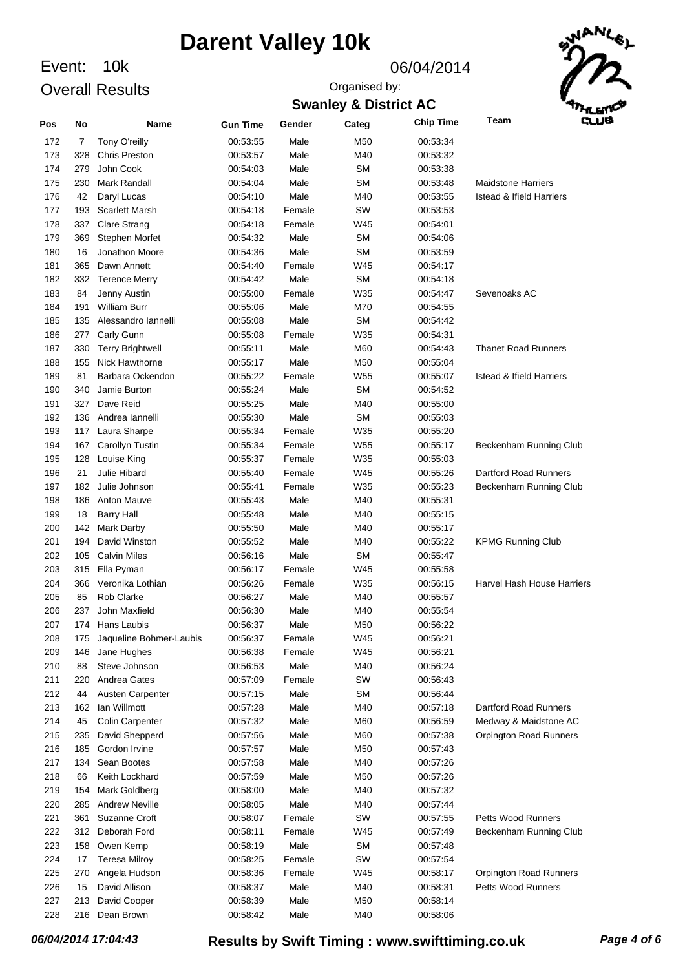Event: 10k Overall Results

### 06/04/2014

Organised by:



### **Swanley & District AC**

| Pos | No  | Name                    | <b>Gun Time</b> | Gender | Categ           | <b>Chip Time</b> | وسته<br>Team                        |
|-----|-----|-------------------------|-----------------|--------|-----------------|------------------|-------------------------------------|
| 172 | 7   | Tony O'reilly           | 00:53:55        | Male   | M50             | 00:53:34         |                                     |
| 173 | 328 | <b>Chris Preston</b>    | 00:53:57        | Male   | M40             | 00:53:32         |                                     |
| 174 | 279 | John Cook               | 00:54:03        | Male   | <b>SM</b>       | 00:53:38         |                                     |
| 175 | 230 | <b>Mark Randall</b>     | 00:54:04        | Male   | <b>SM</b>       | 00:53:48         | <b>Maidstone Harriers</b>           |
| 176 | 42  | Daryl Lucas             | 00:54:10        | Male   | M40             | 00:53:55         | <b>Istead &amp; Ifield Harriers</b> |
| 177 | 193 | <b>Scarlett Marsh</b>   | 00:54:18        | Female | SW              | 00:53:53         |                                     |
| 178 | 337 | <b>Clare Strang</b>     | 00:54:18        | Female | W45             | 00:54:01         |                                     |
|     |     |                         |                 |        | <b>SM</b>       | 00:54:06         |                                     |
| 179 | 369 | Stephen Morfet          | 00:54:32        | Male   |                 |                  |                                     |
| 180 | 16  | Jonathon Moore          | 00:54:36        | Male   | <b>SM</b>       | 00:53:59         |                                     |
| 181 | 365 | Dawn Annett             | 00:54:40        | Female | W45             | 00:54:17         |                                     |
| 182 | 332 | <b>Terence Merry</b>    | 00:54:42        | Male   | <b>SM</b>       | 00:54:18         |                                     |
| 183 | 84  | Jenny Austin            | 00:55:00        | Female | W35             | 00:54:47         | Sevenoaks AC                        |
| 184 | 191 | <b>William Burr</b>     | 00:55:06        | Male   | M70             | 00:54:55         |                                     |
| 185 | 135 | Alessandro lannelli     | 00:55:08        | Male   | <b>SM</b>       | 00:54:42         |                                     |
| 186 | 277 | Carly Gunn              | 00:55:08        | Female | W35             | 00:54:31         |                                     |
| 187 | 330 | <b>Terry Brightwell</b> | 00:55:11        | Male   | M60             | 00:54:43         | <b>Thanet Road Runners</b>          |
| 188 | 155 | Nick Hawthorne          | 00:55:17        | Male   | M50             | 00:55:04         |                                     |
| 189 | 81  | Barbara Ockendon        | 00:55:22        | Female | W <sub>55</sub> | 00:55:07         | <b>Istead &amp; Ifield Harriers</b> |
| 190 | 340 | Jamie Burton            | 00:55:24        | Male   | <b>SM</b>       | 00:54:52         |                                     |
| 191 | 327 | Dave Reid               | 00:55:25        | Male   | M40             | 00:55:00         |                                     |
| 192 | 136 | Andrea lannelli         | 00:55:30        | Male   | <b>SM</b>       | 00:55:03         |                                     |
| 193 | 117 | Laura Sharpe            | 00:55:34        | Female | W35             | 00:55:20         |                                     |
| 194 | 167 | Carollyn Tustin         | 00:55:34        | Female | W <sub>55</sub> | 00:55:17         | Beckenham Running Club              |
| 195 | 128 | Louise King             | 00:55:37        | Female | W35             | 00:55:03         |                                     |
| 196 | 21  | Julie Hibard            | 00:55:40        | Female | W45             | 00:55:26         | Dartford Road Runners               |
| 197 | 182 | Julie Johnson           | 00:55:41        | Female | W35             | 00:55:23         | Beckenham Running Club              |
| 198 | 186 | <b>Anton Mauve</b>      | 00:55:43        | Male   | M40             | 00:55:31         |                                     |
| 199 | 18  | <b>Barry Hall</b>       | 00:55:48        | Male   | M40             | 00:55:15         |                                     |
| 200 | 142 | Mark Darby              | 00:55:50        | Male   | M40             | 00:55:17         |                                     |
| 201 | 194 | David Winston           | 00:55:52        | Male   | M40             | 00:55:22         | <b>KPMG Running Club</b>            |
| 202 | 105 | <b>Calvin Miles</b>     | 00:56:16        | Male   | <b>SM</b>       | 00:55:47         |                                     |
| 203 | 315 | Ella Pyman              | 00:56:17        | Female | W45             | 00:55:58         |                                     |
| 204 | 366 | Veronika Lothian        | 00:56:26        | Female | W35             | 00:56:15         | Harvel Hash House Harriers          |
| 205 | 85  | <b>Rob Clarke</b>       | 00:56:27        | Male   | M40             | 00:55:57         |                                     |
| 206 | 237 | John Maxfield           | 00:56:30        | Male   | M40             | 00:55:54         |                                     |
| 207 |     | 174 Hans Laubis         | 00:56:37        | Male   | M50             | 00:56:22         |                                     |
| 208 | 175 | Jaqueline Bohmer-Laubis | 00:56:37        | Female | W45             | 00:56:21         |                                     |
| 209 | 146 | Jane Hughes             | 00:56:38        | Female | W45             | 00:56:21         |                                     |
| 210 | 88  | Steve Johnson           | 00:56:53        | Male   | M40             | 00:56:24         |                                     |
| 211 | 220 | Andrea Gates            | 00:57:09        | Female | SW              | 00:56:43         |                                     |
| 212 | 44  | Austen Carpenter        | 00:57:15        | Male   | <b>SM</b>       | 00:56:44         |                                     |
| 213 | 162 | lan Willmott            | 00:57:28        | Male   | M40             | 00:57:18         | Dartford Road Runners               |
| 214 | 45  | <b>Colin Carpenter</b>  | 00:57:32        | Male   | M60             | 00:56:59         | Medway & Maidstone AC               |
| 215 | 235 | David Shepperd          | 00:57:56        | Male   | M60             | 00:57:38         | Orpington Road Runners              |
| 216 | 185 | Gordon Irvine           | 00:57:57        | Male   | M50             | 00:57:43         |                                     |
| 217 | 134 | Sean Bootes             | 00:57:58        | Male   | M40             | 00:57:26         |                                     |
| 218 | 66  | Keith Lockhard          | 00:57:59        | Male   | M50             | 00:57:26         |                                     |
| 219 | 154 | Mark Goldberg           | 00:58:00        | Male   | M40             | 00:57:32         |                                     |
| 220 | 285 | <b>Andrew Neville</b>   | 00:58:05        | Male   | M40             | 00:57:44         |                                     |
| 221 | 361 | Suzanne Croft           | 00:58:07        | Female | SW              | 00:57:55         | <b>Petts Wood Runners</b>           |
| 222 | 312 | Deborah Ford            | 00:58:11        | Female | W45             | 00:57:49         | Beckenham Running Club              |
| 223 | 158 | Owen Kemp               | 00:58:19        | Male   | <b>SM</b>       | 00:57:48         |                                     |
| 224 | 17  | <b>Teresa Milroy</b>    | 00:58:25        | Female | SW              | 00:57:54         |                                     |
| 225 | 270 | Angela Hudson           | 00:58:36        | Female | W45             | 00:58:17         | Orpington Road Runners              |
| 226 | 15  | David Allison           | 00:58:37        | Male   | M40             | 00:58:31         | <b>Petts Wood Runners</b>           |
| 227 | 213 | David Cooper            | 00:58:39        | Male   | M50             | 00:58:14         |                                     |
| 228 | 216 | Dean Brown              | 00:58:42        | Male   | M40             | 00:58:06         |                                     |
|     |     |                         |                 |        |                 |                  |                                     |

*06/04/2014 17:04:43* **Results by Swift Timing : www.swifttiming.co.uk** *Page 4 of 6*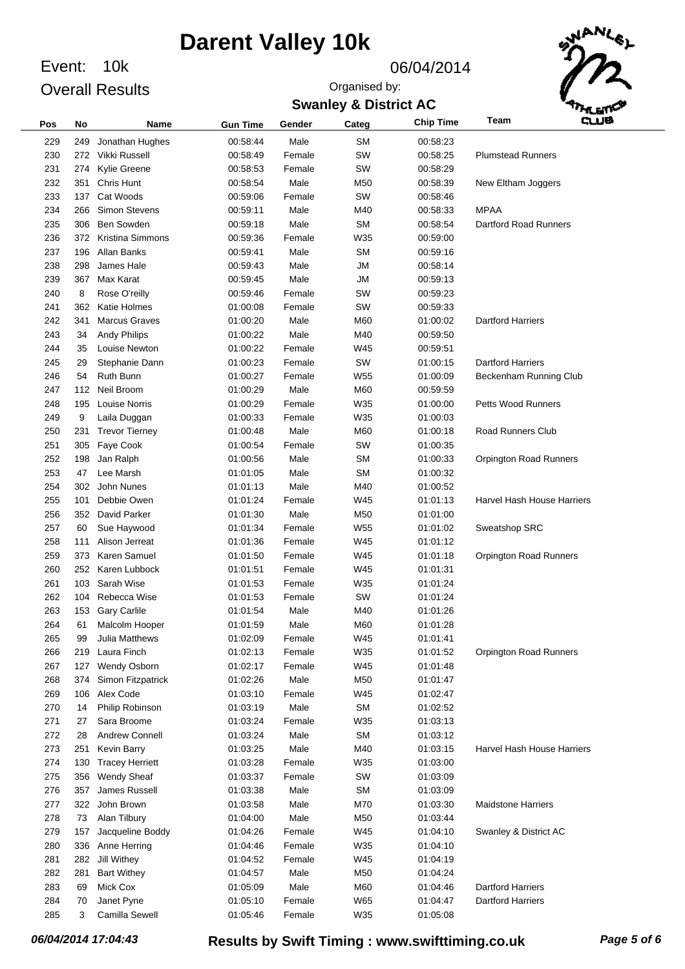Event: 10k Overall Results

#### 06/04/2014

### **Swanley & District AC** Organised by:



| Pos | No  | Name                          | <b>Gun Time</b> | Gender         | Categ      | <b>Chip Time</b>     | Team<br>cue                |
|-----|-----|-------------------------------|-----------------|----------------|------------|----------------------|----------------------------|
| 229 | 249 | Jonathan Hughes               | 00:58:44        | Male           | <b>SM</b>  | 00:58:23             |                            |
| 230 |     | 272 Vikki Russell             | 00:58:49        | Female         | SW         | 00:58:25             | <b>Plumstead Runners</b>   |
| 231 |     | 274 Kylie Greene              | 00:58:53        | Female         | SW         | 00:58:29             |                            |
| 232 |     | 351 Chris Hunt                | 00:58:54        | Male           | M50        | 00:58:39             | New Eltham Joggers         |
| 233 |     | 137 Cat Woods                 | 00:59:06        | Female         | SW         | 00:58:46             |                            |
| 234 | 266 | <b>Simon Stevens</b>          | 00:59:11        | Male           | M40        | 00:58:33             | <b>MPAA</b>                |
| 235 | 306 | Ben Sowden                    | 00:59:18        | Male           | <b>SM</b>  | 00:58:54             | Dartford Road Runners      |
| 236 |     | 372 Kristina Simmons          | 00:59:36        | Female         | W35        | 00:59:00             |                            |
| 237 | 196 | Allan Banks                   | 00:59:41        | Male           | <b>SM</b>  | 00:59:16             |                            |
| 238 | 298 | James Hale                    | 00:59:43        | Male           | <b>JM</b>  | 00:58:14             |                            |
| 239 |     | 367 Max Karat                 | 00:59:45        | Male           | <b>JM</b>  | 00:59:13             |                            |
| 240 | 8   | Rose O'reilly                 | 00:59:46        | Female         | SW         | 00:59:23             |                            |
| 241 | 362 | Katie Holmes                  | 01:00:08        | Female         | SW         | 00:59:33             |                            |
| 242 | 341 | <b>Marcus Graves</b>          | 01:00:20        | Male           | M60        | 01:00:02             | <b>Dartford Harriers</b>   |
| 243 | 34  | <b>Andy Philips</b>           | 01:00:22        | Male           | M40        | 00:59:50             |                            |
| 244 | 35  | Louise Newton                 | 01:00:22        | Female         | W45        | 00:59:51             |                            |
| 245 | 29  | Stephanie Dann                | 01:00:23        | Female         | SW         | 01:00:15             | <b>Dartford Harriers</b>   |
| 246 | 54  | Ruth Bunn                     | 01:00:27        | Female         | W55        | 01:00:09             | Beckenham Running Club     |
| 247 |     | 112 Neil Broom                | 01:00:29        | Male           | M60        | 00:59:59             |                            |
| 248 | 195 | <b>Louise Norris</b>          | 01:00:29        | Female         | W35        | 01:00:00             | <b>Petts Wood Runners</b>  |
| 249 | 9   | Laila Duggan                  | 01:00:33        | Female         | W35        | 01:00:03             |                            |
| 250 | 231 | <b>Trevor Tierney</b>         | 01:00:48        | Male           | M60        | 01:00:18             | <b>Road Runners Club</b>   |
| 251 | 305 | Faye Cook                     | 01:00:54        | Female         | SW         | 01:00:35             |                            |
| 252 | 198 | Jan Ralph                     | 01:00:56        | Male           | <b>SM</b>  | 01:00:33             | Orpington Road Runners     |
| 253 | 47  | Lee Marsh                     | 01:01:05        | Male           | <b>SM</b>  | 01:00:32             |                            |
| 254 |     | 302 John Nunes                | 01:01:13        | Male           | M40        | 01:00:52             |                            |
| 255 | 101 | Debbie Owen                   | 01:01:24        | Female         | W45        | 01:01:13             | Harvel Hash House Harriers |
| 256 |     | 352 David Parker              | 01:01:30        | Male           | M50        | 01:01:00             |                            |
| 257 | 60  | Sue Haywood                   | 01:01:34        | Female         | W55        | 01:01:02             | Sweatshop SRC              |
| 258 | 111 | Alison Jerreat                | 01:01:36        | Female         | W45        | 01:01:12             |                            |
| 259 |     | 373 Karen Samuel              | 01:01:50        | Female         | W45        | 01:01:18             | Orpington Road Runners     |
| 260 |     | 252 Karen Lubbock             | 01:01:51        | Female         |            | 01:01:31             |                            |
| 261 | 103 | Sarah Wise                    | 01:01:53        |                | W45<br>W35 |                      |                            |
| 262 | 104 | Rebecca Wise                  |                 | Female         | SW         | 01:01:24             |                            |
| 263 |     |                               | 01:01:53        | Female<br>Male | M40        | 01:01:24<br>01:01:26 |                            |
| 264 | 153 | <b>Gary Carlile</b>           | 01:01:54        |                |            |                      |                            |
|     | 61  | Malcolm Hooper                | 01:01:59        | Male           | M60        | 01:01:28             |                            |
| 265 | 99  | Julia Matthews<br>Laura Finch | 01:02:09        | Female         | W45        | 01:01:41<br>01:01:52 |                            |
| 266 | 219 |                               | 01:02:13        | Female         | W35        |                      | Orpington Road Runners     |
| 267 |     | 127 Wendy Osborn              | 01:02:17        | Female         | W45        | 01:01:48             |                            |
| 268 | 374 | Simon Fitzpatrick             | 01:02:26        | Male           | M50        | 01:01:47             |                            |
| 269 | 106 | Alex Code                     | 01:03:10        | Female         | W45        | 01:02:47             |                            |
| 270 | 14  | Philip Robinson               | 01:03:19        | Male           | SM         | 01:02:52             |                            |
| 271 | 27  | Sara Broome                   | 01:03:24        | Female         | W35        | 01:03:13             |                            |
| 272 | 28  | Andrew Connell                | 01:03:24        | Male           | SM         | 01:03:12             |                            |
| 273 | 251 | Kevin Barry                   | 01:03:25        | Male           | M40        | 01:03:15             | Harvel Hash House Harriers |
| 274 | 130 | <b>Tracey Herriett</b>        | 01:03:28        | Female         | W35        | 01:03:00             |                            |
| 275 | 356 | <b>Wendy Sheaf</b>            | 01:03:37        | Female         | SW         | 01:03:09             |                            |
| 276 | 357 | James Russell                 | 01:03:38        | Male           | SM         | 01:03:09             |                            |
| 277 |     | 322 John Brown                | 01:03:58        | Male           | M70        | 01:03:30             | <b>Maidstone Harriers</b>  |
| 278 | 73  | Alan Tilbury                  | 01:04:00        | Male           | M50        | 01:03:44             |                            |
| 279 | 157 | Jacqueline Boddy              | 01:04:26        | Female         | W45        | 01:04:10             | Swanley & District AC      |
| 280 | 336 | Anne Herring                  | 01:04:46        | Female         | W35        | 01:04:10             |                            |
| 281 |     | 282 Jill Withey               | 01:04:52        | Female         | W45        | 01:04:19             |                            |
| 282 | 281 | <b>Bart Withey</b>            | 01:04:57        | Male           | M50        | 01:04:24             |                            |
| 283 | 69  | Mick Cox                      | 01:05:09        | Male           | M60        | 01:04:46             | <b>Dartford Harriers</b>   |
| 284 | 70  | Janet Pyne                    | 01:05:10        | Female         | W65        | 01:04:47             | <b>Dartford Harriers</b>   |
| 285 | 3   | Camilla Sewell                | 01:05:46        | Female         | W35        | 01:05:08             |                            |

*06/04/2014 17:04:43* **Results by Swift Timing : www.swifttiming.co.uk** *Page 5 of 6*